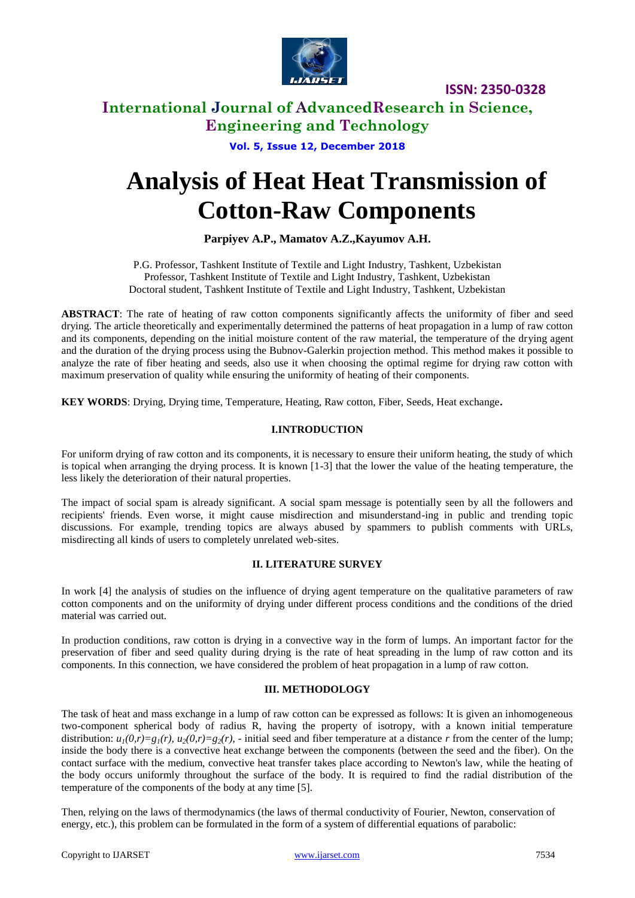

### **International Journal of AdvancedResearch in Science, Engineering and Technology**

**Vol. 5, Issue 12, December 2018**

# **Analysis of Heat Heat Transmission of Cotton-Raw Components**

### **Parpiyev A.P., Mamatov A.Z.,Kayumov A.H.**

P.G. Professor, Tashkent Institute of Textile and Light Industry, Tashkent, Uzbekistan Professor, Tashkent Institute of Textile and Light Industry, Tashkent, Uzbekistan Doctoral student, Tashkent Institute of Textile and Light Industry, Tashkent, Uzbekistan

**ABSTRACT**: The rate of heating of raw cotton components significantly affects the uniformity of fiber and seed drying. The article theoretically and experimentally determined the patterns of heat propagation in a lump of raw cotton and its components, depending on the initial moisture content of the raw material, the temperature of the drying agent and the duration of the drying process using the Bubnov-Galerkin projection method. This method makes it possible to analyze the rate of fiber heating and seeds, also use it when choosing the optimal regime for drying raw cotton with maximum preservation of quality while ensuring the uniformity of heating of their components.

**KEY WORDS**: Drying, Drying time, Temperature, Heating, Raw cotton, Fiber, Seeds, Heat exchange**.**

### **I.INTRODUCTION**

For uniform drying of raw cotton and its components, it is necessary to ensure their uniform heating, the study of which is topical when arranging the drying process. It is known [1-3] that the lower the value of the heating temperature, the less likely the deterioration of their natural properties.

The impact of social spam is already significant. A social spam message is potentially seen by all the followers and recipients' friends. Even worse, it might cause misdirection and misunderstand-ing in public and trending topic discussions. For example, trending topics are always abused by spammers to publish comments with URLs, misdirecting all kinds of users to completely unrelated web-sites.

### **II. LITERATURE SURVEY**

In work [4] the analysis of studies on the influence of drying agent temperature on the qualitative parameters of raw cotton components and on the uniformity of drying under different process conditions and the conditions of the dried material was carried out.

In production conditions, raw cotton is drying in a convective way in the form of lumps. An important factor for the preservation of fiber and seed quality during drying is the rate of heat spreading in the lump of raw cotton and its components. In this connection, we have considered the problem of heat propagation in a lump of raw cotton.

### **III. METHODOLOGY**

The task of heat and mass exchange in a lump of raw cotton can be expressed as follows: It is given an inhomogeneous two-component spherical body of radius R, having the property of isotropy, with a known initial temperature distribution:  $u_1(0,r)=g_1(r), u_2(0,r)=g_2(r),$  - initial seed and fiber temperature at a distance *r* from the center of the lump; inside the body there is a convective heat exchange between the components (between the seed and the fiber). On the contact surface with the medium, convective heat transfer takes place according to Newton's law, while the heating of the body occurs uniformly throughout the surface of the body. It is required to find the radial distribution of the temperature of the components of the body at any time [5].

Then, relying on the laws of thermodynamics (the laws of thermal conductivity of Fourier, Newton, conservation of energy, etc.), this problem can be formulated in the form of a system of differential equations of parabolic: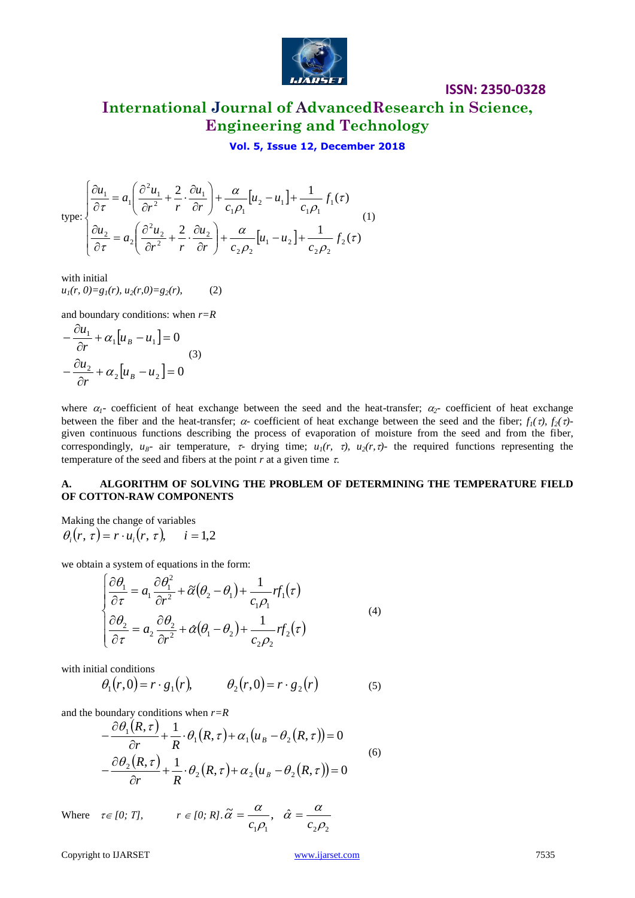

**International Journal of AdvancedResearch in Science, Engineering and Technology**

### **Vol. 5, Issue 12, December 2018**

type: 
$$
\begin{cases} \frac{\partial u_1}{\partial \tau} = a_1 \left( \frac{\partial^2 u_1}{\partial r^2} + \frac{2}{r} \cdot \frac{\partial u_1}{\partial r} \right) + \frac{\alpha}{c_1 \rho_1} [u_2 - u_1] + \frac{1}{c_1 \rho_1} f_1(\tau) \\ \frac{\partial u_2}{\partial \tau} = a_2 \left( \frac{\partial^2 u_2}{\partial r^2} + \frac{2}{r} \cdot \frac{\partial u_2}{\partial r} \right) + \frac{\alpha}{c_2 \rho_2} [u_1 - u_2] + \frac{1}{c_2 \rho_2} f_2(\tau) \end{cases}
$$
(1)

with initial  $u_1(r, 0) = g_1(r), u_2(r, 0) = g_2(r),$  (2)

and boundary conditions: when *r=R*

$$
-\frac{\partial u_1}{\partial r} + \alpha_1 [u_B - u_1] = 0
$$
  

$$
-\frac{\partial u_2}{\partial r} + \alpha_2 [u_B - u_2] = 0
$$
 (3)

where  $\alpha_1$ - coefficient of heat exchange between the seed and the heat-transfer;  $\alpha_2$ - coefficient of heat exchange between the fiber and the heat-transfer;  $\alpha$ - coefficient of heat exchange between the seed and the fiber;  $f_1(\tau)$ ,  $f_2(\tau)$ given continuous functions describing the process of evaporation of moisture from the seed and from the fiber, correspondingly,  $u_{\beta}$ - air temperature,  $\tau$ - drying time;  $u_1(r, \tau)$ ,  $u_2(r, \tau)$ - the required functions representing the temperature of the seed and fibers at the point  $r$  at a given time  $\tau$ .

#### **A. ALGORITHM OF SOLVING THE PROBLEM OF DETERMINING THE TEMPERATURE FIELD OF COTTON-RAW COMPONENTS**

Making the change of variables  $\theta_i(r, \tau) = r \cdot u_i(r, \tau), \quad i = 1,2$ 

we obtain a system of equations in the form:

$$
\begin{cases}\n\frac{\partial \theta_1}{\partial \tau} = a_1 \frac{\partial \theta_1^2}{\partial r^2} + \tilde{\alpha} (\theta_2 - \theta_1) + \frac{1}{c_1 \rho_1} r f_1(\tau) \\
\frac{\partial \theta_2}{\partial \tau} = a_2 \frac{\partial \theta_2}{\partial r^2} + \tilde{\alpha} (\theta_1 - \theta_2) + \frac{1}{c_2 \rho_2} r f_2(\tau)\n\end{cases} (4)
$$

with initial conditions

$$
\theta_1(r,0) = r \cdot g_1(r), \qquad \theta_2(r,0) = r \cdot g_2(r) \tag{5}
$$

and the boundary conditions when *r=R*

$$
-\frac{\partial \theta_1(R,\tau)}{\partial r} + \frac{1}{R} \cdot \theta_1(R,\tau) + \alpha_1(u_B - \theta_2(R,\tau)) = 0
$$
  

$$
-\frac{\partial \theta_2(R,\tau)}{\partial r} + \frac{1}{R} \cdot \theta_2(R,\tau) + \alpha_2(u_B - \theta_2(R,\tau)) = 0
$$
 (6)

Where  $\tau \in [0; T]$ ,  $r \in [0; R]$ .  $1\mu_1$   $\mu_2\mu_2$  $\widetilde{\alpha}=\frac{\alpha}{\alpha},\;\;\hat{\alpha}$  $\rho$  $\hat{\alpha} = \frac{\alpha}{\sqrt{2}}$  $\rho$  $\widetilde{\alpha} = \frac{\alpha}{c_1 \rho_1}, \quad \widehat{\alpha} = \frac{\alpha}{c_1 \rho_1}$  $=\frac{a}{a}, \hat{a} =$ 

Copyright to IJARSET [www.ijarset.com](http://www.ijarset.com/) 7535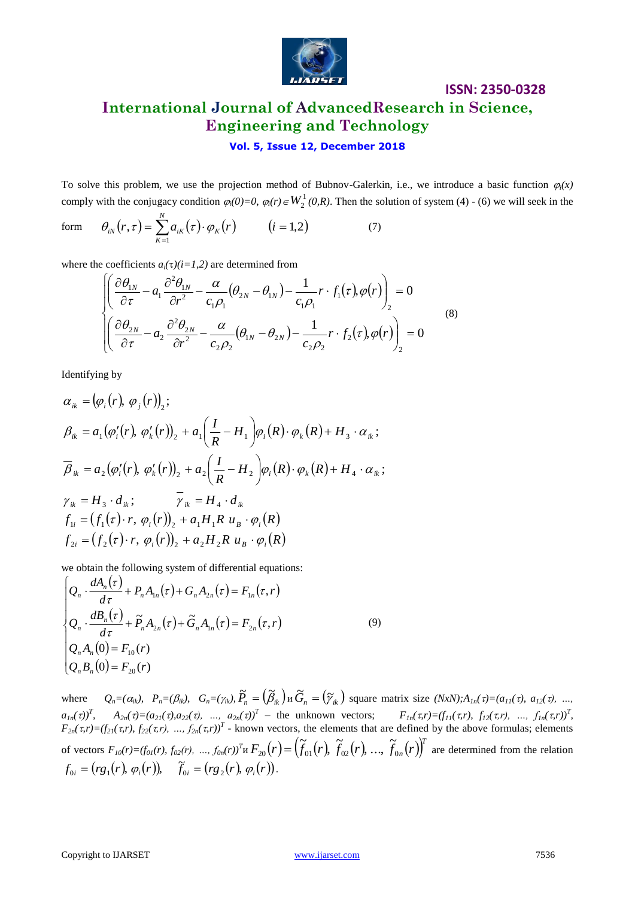

# **ISSN: 2350-0328 International Journal of AdvancedResearch in Science, Engineering and Technology**

### **Vol. 5, Issue 12, December 2018**

To solve this problem, we use the projection method of Bubnov-Galerkin, i.e., we introduce a basic function  $\varphi_i(x)$ comply with the conjugacy condition  $\varphi_i(0)=0$ ,  $\varphi_i(r) \in W_2^1(0,R)$ . Then the solution of system (4) - (6) we will seek in the

form 
$$
\theta_{iN}(r,\tau) = \sum_{K=1}^{N} a_{iK}(\tau) \cdot \varphi_K(r) \qquad (i=1,2)
$$
 (7)

where the coefficients  $a_i(\tau)(i=1,2)$  are determined from

$$
\begin{aligned}\n&\left\{\left(\frac{\partial \theta_{1N}}{\partial \tau} - a_1 \frac{\partial^2 \theta_{1N}}{\partial r^2} - \frac{\alpha}{c_1 \rho_1} (\theta_{2N} - \theta_{1N}) - \frac{1}{c_1 \rho_1} r \cdot f_1(\tau), \varphi(r)\right)_2 = 0 \\
&\left(\frac{\partial \theta_{2N}}{\partial \tau} - a_2 \frac{\partial^2 \theta_{2N}}{\partial r^2} - \frac{\alpha}{c_2 \rho_2} (\theta_{1N} - \theta_{2N}) - \frac{1}{c_2 \rho_2} r \cdot f_2(\tau), \varphi(r)\right)_2 = 0\n\end{aligned} \tag{8}
$$

Identifying by

$$
\alpha_{ik} = (\varphi_i(r), \varphi_j(r))_2;
$$
\n
$$
\beta_{ik} = a_1 (\varphi'_i(r), \varphi'_k(r))_2 + a_1 \left(\frac{I}{R} - H_1\right) \varphi_i(R) \cdot \varphi_k(R) + H_3 \cdot \alpha_{ik};
$$
\n
$$
\overline{\beta}_{ik} = a_2 (\varphi'_i(r), \varphi'_k(r))_2 + a_2 \left(\frac{I}{R} - H_2\right) \varphi_i(R) \cdot \varphi_k(R) + H_4 \cdot \alpha_{ik};
$$
\n
$$
\gamma_{ik} = H_3 \cdot d_{ik}; \qquad \overline{\gamma}_{ik} = H_4 \cdot d_{ik}
$$
\n
$$
f_{1i} = (f_1(\tau) \cdot r, \varphi_i(r))_2 + a_1 H_1 R u_B \cdot \varphi_i(R)
$$
\n
$$
f_{2i} = (f_2(\tau) \cdot r, \varphi_i(r))_2 + a_2 H_2 R u_B \cdot \varphi_i(R)
$$

we obtain the following system of differential equations:

$$
\begin{cases}\nQ_n \cdot \frac{dA_n(\tau)}{d\tau} + P_n A_{1n}(\tau) + G_n A_{2n}(\tau) = F_{1n}(\tau, r) \\
Q_n \cdot \frac{dB_n(\tau)}{d\tau} + \tilde{P}_n A_{2n}(\tau) + \tilde{G}_n A_{1n}(\tau) = F_{2n}(\tau, r) \\
Q_n A_n(0) = F_{10}(r) \\
Q_n B_n(0) = F_{20}(r)\n\end{cases} \tag{9}
$$

where  $Q_n = (\alpha_{ik})$ ,  $P_n = (\beta_{ik})$ ,  $G_n = (\gamma_{ik})$ ,  $\widetilde{P}_n = (\widetilde{\beta}_{ik})$   $\widetilde{G}_n = (\gamma_{ik})$  square matrix size  $(NxN); A_{1n}(\tau) = (a_{11}(\tau), a_{12}(\tau), \ldots, a_{1n}(\tau))$  $a_{1n}(\tau)^T$ ,  $A_{2n}(\tau) = (a_{21}(\tau), a_{22}(\tau), ..., a_{2n}(\tau))^T$  - the unknown vectors;  $F_{1n}(\tau, r) = (f_{11}(\tau, r), f_{12}(\tau, r), ..., f_{1n}(\tau, r))^T$ ,  $F_{2n}(\tau, r) = (f_{21}(\tau, r), f_{22}(\tau, r), ..., f_{2n}(\tau, r))^T$  - known vectors, the elements that are defined by the above formulas; elements of vectors  $F_{10}(r) = (f_{01}(r), f_{02}(r), ..., f_{0n}(r))^T H F_{20}(r) = (\widetilde{f}_{01}(r), \widetilde{f}_{02}(r), ..., \widetilde{f}_{0n}(r))^T$ ~<br>~ ,..., ~<br>~ ,  $=\left(\widetilde{f}_{01}(r), \widetilde{f}_{02}(r), ..., \widetilde{f}_{0n}(r)\right)^{T}$  are determined from the relation  $f_{0i} = (rg_1(r), \varphi_i(r)), \quad \tilde{f}_{0i} = (rg_2(r), \varphi_i(r)).$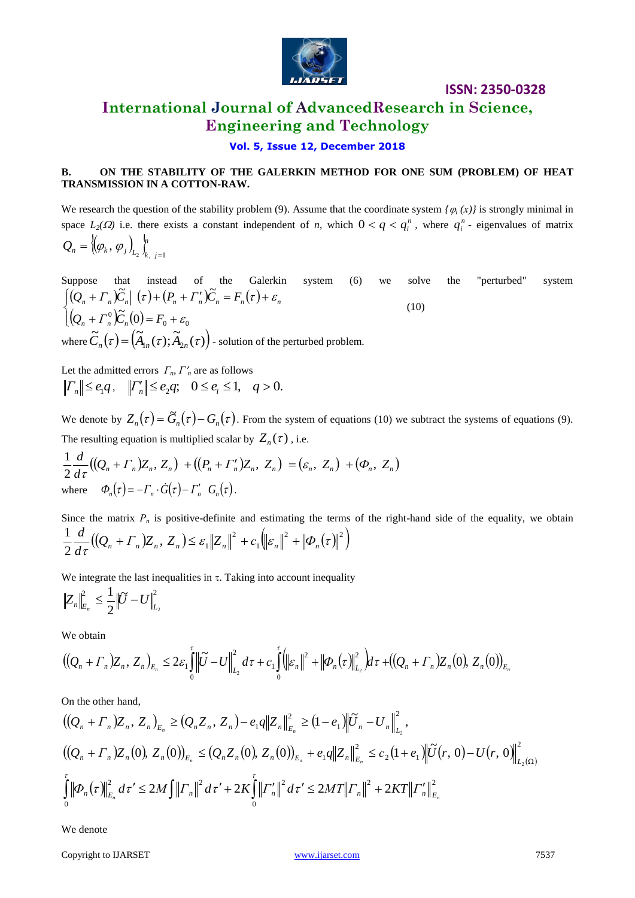

# **International Journal of AdvancedResearch in Science, Engineering and Technology**

### **Vol. 5, Issue 12, December 2018**

### **B. ON THE STABILITY OF THE GALERKIN METHOD FOR ONE SUM (PROBLEM) OF HEAT TRANSMISSION IN A COTTON-RAW.**

We research the question of the stability problem (9). Assume that the coordinate system  $\{\varphi_i(x)\}$  is strongly minimal in space  $L_2(\Omega)$  i.e. there exists a constant independent of *n*, which  $0 < q < q_i^n$ , where  $q_i^n$  - eigenvalues of matrix  $\{\varphi_{\iota}, \varphi_{\iota}\}\$  $Q_n = {\phi_k, \phi_j}_{L_2} \int_{k, j=1}^{n}$ 

Suppose that instead of the Galerkin system (6) we solve the "perturbed" system  $\int_{0}^{\infty} (\mathcal{Q}_n + \Gamma_n) \widetilde{C}_n \vert \tau + (P_n + \Gamma_n') \widetilde{C}_n = F_n(\tau) + \varepsilon_n$  $\left( Q_n + \Gamma_n^0 \right) \widetilde{C}_n(0)$ ₹  $(Q_n + \Gamma_n^0) \widetilde{C}_n(0) = F_0 + \varepsilon_0$ (10) where  $\widetilde{C}_n(\tau) = (\widetilde{A}_{1n}(\tau); \widetilde{A}_{2n}(\tau)).$  $\tilde{C}_n(\tau) = (A_{1n}(\tau); A_{2n}(\tau))$  - solution of the perturbed problem.

Let the admitted errors  $\Gamma_n$ ,  $\Gamma'_n$  are as follows  $\left| \frac{\Gamma_n}{\gamma} \right| \leq e_1 q, \quad \left| \frac{\Gamma_n'}{n} \right| \leq e_2 q; \quad 0 \leq e_i \leq 1, \quad q > 0.$ 

We denote by  $Z_n(\tau) = \tilde{G}_n(\tau) - G_n(\tau)$ . From the system of equations (10) we subtract the systems of equations (9). The resulting equation is multiplied scalar by  $Z_n(\tau)$ , i.e.

$$
\frac{1}{2}\frac{d}{d\tau}\big((Q_n+\Gamma_n)Z_n,Z_n\big)+\big((P_n+\Gamma_n)\mathbb{Z}_n,\mathbb{Z}_n\big)=(\varepsilon_n,\mathbb{Z}_n)+(\varPhi_n,\mathbb{Z}_n)
$$
\nwhere  $\Phi_n(\tau)=-\Gamma_n\cdot\tilde{G}(\tau)-\Gamma_n'\cdot G_n(\tau)$ .

Since the matrix  $P_n$  is positive-definite and estimating the terms of the right-hand side of the equality, we obtain  $((Q_n + \Gamma_n)Z_n, Z_n) \leq \varepsilon_1 ||Z_n||^2 + c_1 ||\varepsilon_n||^2 + ||\Phi_n(\tau)||^2$ 1 2  $,Z_n) \leq \varepsilon_1$ 2  $\frac{1}{\epsilon} \frac{d}{d\epsilon} ((Q + \Gamma) |Z|, Z) \leq \varepsilon \|Z\|^2 + c \cdot \|z\|^2 + \|\Phi\| (\tau)$  $\frac{a}{d\tau}((Q_n + \Gamma_n)Z_n, Z_n) \leq \varepsilon_1 \|Z_n\|^2 + c_1 \| \varepsilon_n\|^2 + \|\Phi_n\|^2$  $\frac{d}{d}((Q_n + \Gamma_n)Z_n, Z_n) \leq \varepsilon_1 ||Z_n||^2 + c_1 ||\varepsilon_n||^2 +$ 

We integrate the last inequalities in  $\tau$ . Taking into account inequality

$$
\left\|Z_n\right\|_{E_n}^2\leq \frac{1}{2}\left\|\widetilde U-U\right\|_{L_2}^2
$$

We obtain

$$
((Q_n + \Gamma_n)Z_n, Z_n)_{E_n} \leq 2\varepsilon_1 \int_0^{\tau} \left\| \widetilde{U} - U \right\|_{L_2}^2 d\tau + c_1 \int_0^{\tau} \left( \left\| \varepsilon_n \right\|^2 + \left\| \Phi_n(\tau) \right\|_{L_2}^2 \right) d\tau + ((Q_n + \Gamma_n)Z_n(0), Z_n(0))_{E_n}
$$

On the other hand,

$$
\begin{aligned}\n &\left( \left( Q_n + \Gamma_n \right) \mathbb{Z}_n, \, Z_n \right)_{E_n} \ge \left( Q_n \mathbb{Z}_n, \, Z_n \right) - e_1 q \big\| \mathbb{Z}_n \big\|_{E_n}^2 \ge \left( 1 - e_1 \right) \big\| \widetilde{U}_n - U_n \big\|_{L_2}^2, \\
 &\left( \left( Q_n + \Gamma_n \right) \mathbb{Z}_n(0), \, Z_n(0) \right)_{E_n} \le \left( Q_n \mathbb{Z}_n(0), \, Z_n(0) \right)_{E_n} + e_1 q \big\| \mathbb{Z}_n \big\|_{E_n}^2 \le c_2 \left( 1 + e_1 \right) \big\| \widetilde{U}(r, 0) - U(r, 0) \big\|_{L_2(\Omega)}^2, \\
 &\int_0^r \big\| \Phi_n(\tau) \big\|_{E_n}^2 \, d\tau' \le 2M \int_r^r \big\| \Gamma_n \big\|^2 \, d\tau' + 2K \int_0^r \big\| \Gamma_n' \big\|^2 \, d\tau' \le 2M T \big\| \Gamma_n \big\|^2 + 2KT \big\| \Gamma_n' \big\|_{E_n}^2\n\end{aligned}
$$

We denote

Copyright to IJARSET [www.ijarset.com](http://www.ijarset.com/) 7537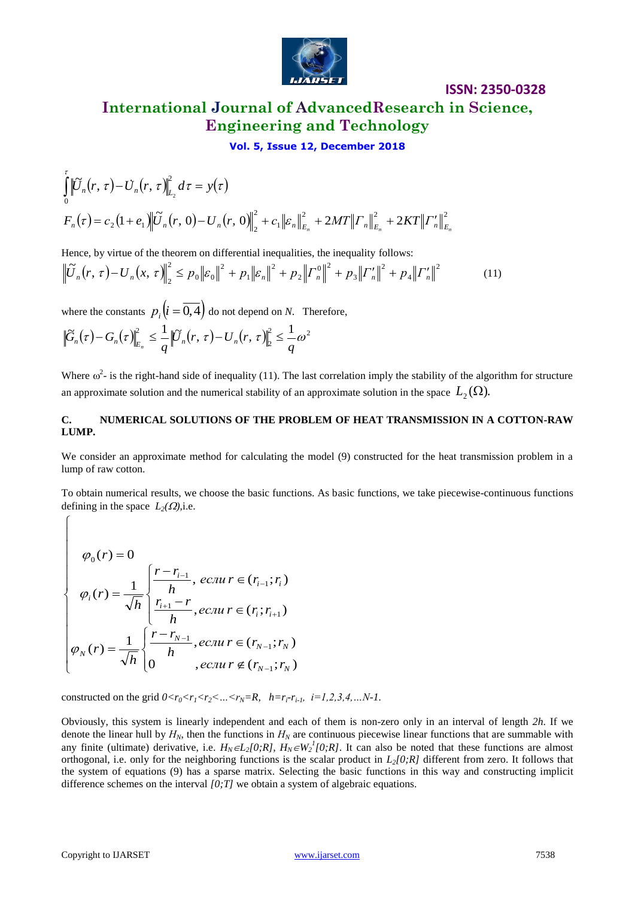

# **International Journal of AdvancedResearch in Science, Engineering and Technology**

**ISSN: 2350-0328**

**Vol. 5, Issue 12, December 2018**

$$
\int_{0}^{\tau} \left\| \overline{U}_{n}(r,\tau) - \overline{U}_{n}(r,\tau) \right\|_{L_{2}}^{2} d\tau = y(\tau)
$$
\n
$$
F_{n}(\tau) = c_{2} (1 + e_{1}) \left\| \widetilde{U}_{n}(r,0) - U_{n}(r,0) \right\|_{2}^{2} + c_{1} \left\| \varepsilon_{n} \right\|_{E_{n}}^{2} + 2MT \left\| \overline{U}_{n} \right\|_{E_{n}}^{2} + 2KT \left\| \overline{U}_{n}^{\prime} \right\|_{E_{n}}^{2}
$$

Hence, by virtue of the theorem on differential inequalities, the inequality follows:

$$
\left\| \widetilde{U}_n(r,\,\tau) - U_n(x,\,\tau) \right\|_2^2 \leq p_0 \left\| \varepsilon_0 \right\|^2 + p_1 \left\| \varepsilon_n \right\|^2 + p_2 \left\| \Gamma_n^0 \right\|^2 + p_3 \left\| \Gamma_n^{\prime} \right\|^2 + p_4 \left\| \Gamma_n^{\prime} \right\|^2 \tag{11}
$$

where the constants  $p_i(i=0,4)$  do not depend on *N*. Therefore,

$$
\left\|\widetilde{G}_n(\tau)-G_n(\tau)\right\|_{E_n}^2\leq \frac{1}{q}\left\|\widetilde{U}_n(r,\,\tau)-U_n(r,\,\tau)\right\|_{2}^2\leq \frac{1}{q}\omega^2
$$

Where  $\omega^2$ - is the right-hand side of inequality (11). The last correlation imply the stability of the algorithm for structure an approximate solution and the numerical stability of an approximate solution in the space  $L_{2}(\Omega)$ .

### **C. NUMERICAL SOLUTIONS OF THE PROBLEM OF HEAT TRANSMISSION IN A COTTON-RAW LUMP.**

We consider an approximate method for calculating the model (9) constructed for the heat transmission problem in a lump of raw cotton.

To obtain numerical results, we choose the basic functions. As basic functions, we take piecewise-continuous functions defining in the space  $L_2(\Omega)$ , i.e.

$$
\varphi_{0}(r) = 0
$$
\n
$$
\varphi_{i}(r) = \frac{1}{\sqrt{h}} \begin{cases} \frac{r - r_{i-1}}{h}, & eclur \in (r_{i-1}; r_{i}) \\ \frac{r_{i+1} - r}{h}, & eclur \in (r_{i}; r_{i+1}) \\ \frac{r_{i+1} - r}{h}, & eclur \in (r_{i}; r_{i+1}) \end{cases}
$$
\n
$$
\varphi_{N}(r) = \frac{1}{\sqrt{h}} \begin{cases} \frac{r - r_{N-1}}{h}, & eclur \in (r_{N-1}; r_{N}) \\ 0, & eclur \in (r_{N-1}; r_{N}) \end{cases}
$$

constructed on the grid  $0 < r_0 < r_1 < r_2 < ... < r_N = R$ ,  $h = r_i - r_{i-1}$ ,  $i = 1, 2, 3, 4, ... N-1$ .

 $\int_{0}^{1} C_{\gamma}(r, t) - C_{\gamma}(r, \tau) \Big|_{0}^{2} d\tau = y(t)$ <br>  $F_{\gamma}(t) = c_{\gamma}(1 + a_{\gamma}) \Big|_{0}^{2} \Big|_{0}^{2} C_{\gamma}(r, t) - U_{\gamma}(r, 0) \Big|_{0}^{2} + c_{\gamma}(s_{\gamma}) \Big|_{0}^{2} + c_{\gamma}(s_{\gamma}) \Big|_{0}^{2} + 2\mathcal{MT}[T_{\gamma}] \Big|_{0}^{2}$ .<br>
Hence, by vients of the thestern or di Obviously, this system is linearly independent and each of them is non-zero only in an interval of length *2h*. If we denote the linear hull by *НN*, then the functions in *Н<sup>N</sup>* are continuous piecewise linear functions that are summable with any finite (ultimate) derivative, i.e.  $H_N \in L_2[0;R]$ ,  $H_N \in W_2^1[0;R]$ . It can also be noted that these functions are almost orthogonal, i.e. only for the neighboring functions is the scalar product in  $L_2/0$ ;  $R$ <sup>1</sup> different from zero. It follows that the system of equations (9) has a sparse matrix. Selecting the basic functions in this way and constructing implicit difference schemes on the interval *[0;T]* we obtain a system of algebraic equations.

 $\int$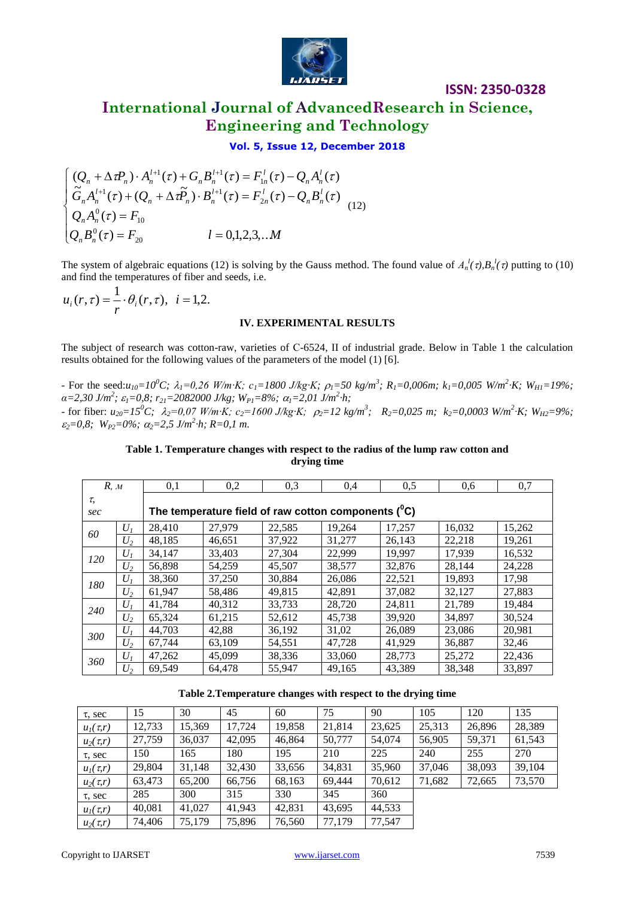

# **International Journal of AdvancedResearch in Science, Engineering and Technology**

### **Vol. 5, Issue 12, December 2018**

$$
\begin{cases}\n(Q_n + \Delta \tau P_n) \cdot A_n^{l+1}(\tau) + G_n B_n^{l+1}(\tau) = F_{1n}^l(\tau) - Q_n A_n^l(\tau) \\
\tilde{G}_n A_n^{l+1}(\tau) + (Q_n + \Delta \tau P_n) \cdot B_n^{l+1}(\tau) = F_{2n}^l(\tau) - Q_n B_n^l(\tau) \\
Q_n A_n^0(\tau) = F_{10} \\
Q_n B_n^0(\tau) = F_{20} \qquad l = 0, 1, 2, 3, \dots M\n\end{cases} (12)
$$

The system of algebraic equations (12) is solving by the Gauss method. The found value of  $A_n^l(\tau), B_n^l(\tau)$  putting to (10) and find the temperatures of fiber and seeds, i.e.

 $(r, \tau) = \frac{1}{\tau} \cdot \theta_i(r, \tau), \ \ i = 1, 2.$  $u_i(r,\tau) = \frac{1}{r} \cdot \theta_i(r,\tau)$ 

### **IV. EXPERIMENTAL RESULTS**

The subject of research was cotton-raw, varieties of С-6524, II of industrial grade. Below in Table 1 the calculation results obtained for the following values of the parameters of the model (1) [6].

- For the seed: $u_{10}=10^0C$ ;  $\lambda_1=0.26$  W/m·K;  $c_1=1800$  J/kg·K;  $\rho_1=50$  kg/m<sup>3</sup>;  $R_1=0.006$ m;  $k_1=0.005$  W/m<sup>2</sup>·K;  $W_{HI}=19\%$ ; *α=2,30 J/m<sup>2</sup> ; 1=0,8; r21=2082000 J/kg; WP1=8%; 1=2,01 J/m<sup>2</sup> ∙h;* - for fiber:  $u_{20} = 15^0C$ ;  $\lambda_2 = 0.07$  W/m·K;  $c_2 = 1600$  J/kg·K;  $\rho_2 = 12$  kg/m<sup>3</sup>;  $R_2 = 0.025$  m;  $k_2 = 0.0003$  W/m<sup>2</sup>·K;  $W_{H2} = 9\%$ ;  $\epsilon_2 = 0.8$ ;  $W_{P2} = 0\%$ ;  $\alpha_2 = 2.5$  J/m<sup>2</sup>⋅h; R=0,1 m.

### **Table 1. Temperature changes with respect to the radius of the lump raw cotton and drying time**

| R, M      |                | 0,1                                                    | 0,2    | 0,3    | 0.4    | 0.5    | 0.6    | 0,7    |  |  |
|-----------|----------------|--------------------------------------------------------|--------|--------|--------|--------|--------|--------|--|--|
| τ,<br>sec |                | The temperature field of raw cotton components $(^0C)$ |        |        |        |        |        |        |  |  |
| 60        | U <sub>I</sub> | 28,410                                                 | 27,979 | 22,585 | 19,264 | 17,257 | 16,032 | 15,262 |  |  |
|           | $U_2$          | 48.185                                                 | 46.651 | 37,922 | 31,277 | 26.143 | 22.218 | 19,261 |  |  |
| 120       | $U_I$          | 34.147                                                 | 33,403 | 27.304 | 22,999 | 19.997 | 17.939 | 16.532 |  |  |
|           | $U_2$          | 56.898                                                 | 54.259 | 45,507 | 38,577 | 32,876 | 28.144 | 24,228 |  |  |
| 180       | $U_1$          | 38,360                                                 | 37,250 | 30,884 | 26,086 | 22,521 | 19.893 | 17,98  |  |  |
|           | $U_2$          | 61,947                                                 | 58,486 | 49,815 | 42,891 | 37,082 | 32,127 | 27,883 |  |  |
| 240       | $U_1$          | 41,784                                                 | 40.312 | 33.733 | 28,720 | 24.811 | 21.789 | 19,484 |  |  |
|           | $U_2$          | 65,324                                                 | 61,215 | 52,612 | 45,738 | 39,920 | 34,897 | 30,524 |  |  |
| 300       | $U_I$          | 44,703                                                 | 42.88  | 36,192 | 31,02  | 26,089 | 23,086 | 20.981 |  |  |
|           | $U_2$          | 67,744                                                 | 63,109 | 54,551 | 47,728 | 41,929 | 36,887 | 32,46  |  |  |
| 360       | $U_I$          | 47,262                                                 | 45,099 | 38,336 | 33,060 | 28.773 | 25,272 | 22,436 |  |  |
|           | $U_2$          | 69.549                                                 | 64,478 | 55,947 | 49,165 | 43.389 | 38.348 | 33,897 |  |  |

| Table 2. Temperature changes with respect to the drying time |  |  |  |  |  |
|--------------------------------------------------------------|--|--|--|--|--|
|--------------------------------------------------------------|--|--|--|--|--|

| $\tau$ , sec  | 15     | 30     | 45     | 60     | 75     | 90     | 105    | 120    | 135    |
|---------------|--------|--------|--------|--------|--------|--------|--------|--------|--------|
| $u_1(\tau,r)$ | 12,733 | 15,369 | 17,724 | 19,858 | 21,814 | 23,625 | 25,313 | 26,896 | 28,389 |
| $u_2(\tau,r)$ | 27,759 | 36,037 | 42,095 | 46,864 | 50,777 | 54,074 | 56,905 | 59,371 | 61,543 |
| τ, sec        | 150    | 165    | 180    | 195    | 210    | 225    | 240    | 255    | 270    |
| $u_I(\tau,r)$ | 29,804 | 31,148 | 32,430 | 33,656 | 34,831 | 35,960 | 37,046 | 38,093 | 39,104 |
| $u_2(\tau,r)$ | 63,473 | 65,200 | 66,756 | 68,163 | 69.444 | 70,612 | 71,682 | 72,665 | 73,570 |
| $\tau$ , sec  | 285    | 300    | 315    | 330    | 345    | 360    |        |        |        |
| $u_1(\tau,r)$ | 40,081 | 41,027 | 41,943 | 42,831 | 43,695 | 44,533 |        |        |        |
| $u_2(\tau,r)$ | 74,406 | 75,179 | 75,896 | 76,560 | 77.179 | 77,547 |        |        |        |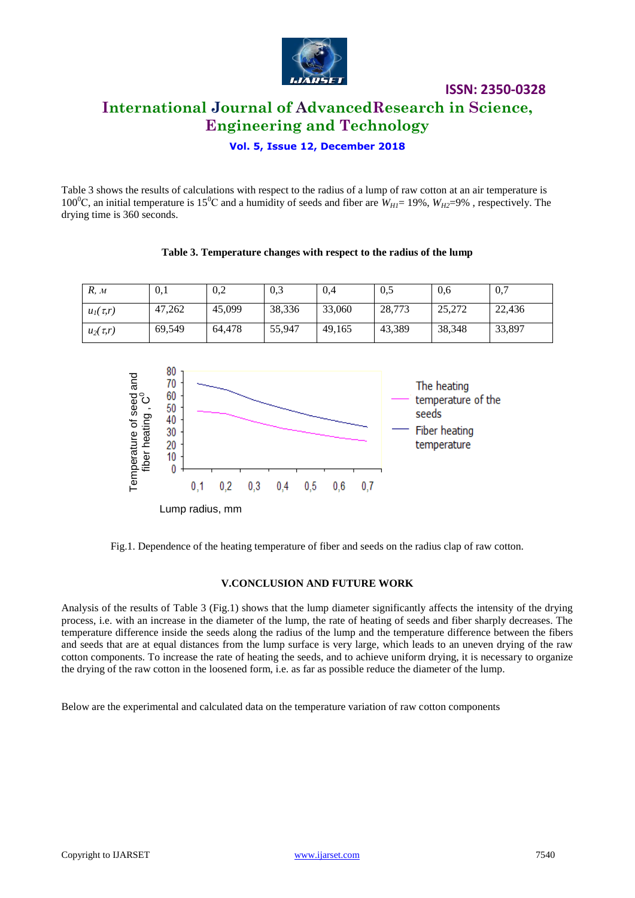

**ISSN: 2350-0328 International Journal of AdvancedResearch in Science, Engineering and Technology**

**Vol. 5, Issue 12, December 2018**

Table 3 shows the results of calculations with respect to the radius of a lump of raw cotton at an air temperature is 100<sup>o</sup>C, an initial temperature is 15<sup>o</sup>C and a humidity of seeds and fiber are  $W_{H1}$ = 19%,  $W_{H2}$ =9%, respectively. The drying time is 360 seconds.

# *R, м* 0,1 0,2 0,3 0,4 0,5 0,6 0,7 *u*<sub>1</sub>(*t,r*) 47,262 45,099 38,336 33,060 28,773 25,272 22,436 *u*<sub>2</sub>(*t,r*) 69,549 64,478 55,947 49,165 43,389 38,348 33,897

**Table 3. Temperature changes with respect to the radius of the lump**



Fig.1. Dependence of the heating temperature of fiber and seeds on the radius clap of raw cotton.

### **V.CONCLUSION AND FUTURE WORK**

Analysis of the results of Table 3 (Fig.1) shows that the lump diameter significantly affects the intensity of the drying process, i.e. with an increase in the diameter of the lump, the rate of heating of seeds and fiber sharply decreases. The temperature difference inside the seeds along the radius of the lump and the temperature difference between the fibers and seeds that are at equal distances from the lump surface is very large, which leads to an uneven drying of the raw cotton components. To increase the rate of heating the seeds, and to achieve uniform drying, it is necessary to organize the drying of the raw cotton in the loosened form, i.e. as far as possible reduce the diameter of the lump.

Below are the experimental and calculated data on the temperature variation of raw cotton components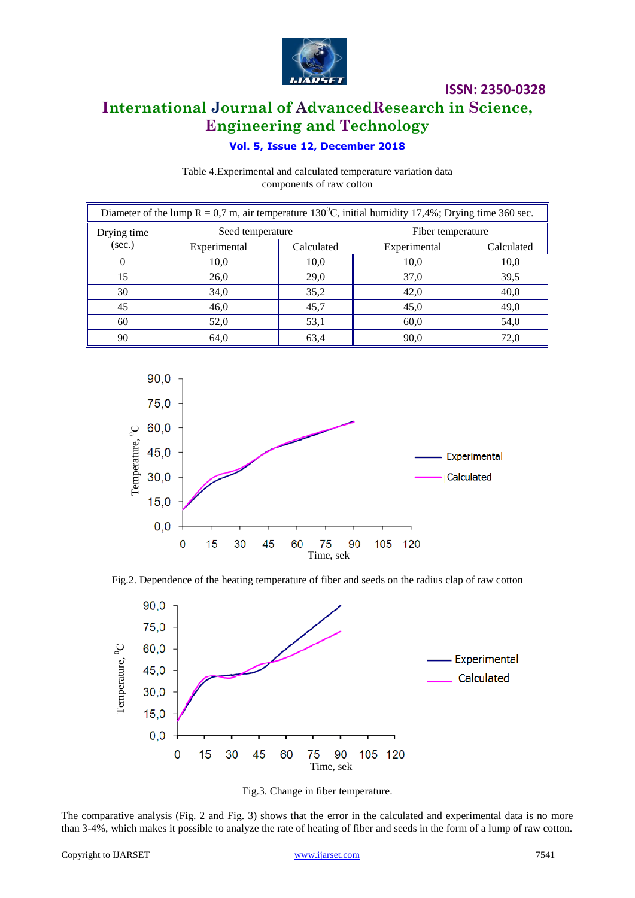

# **International Journal of AdvancedResearch in Science, Engineering and Technology**

### **Vol. 5, Issue 12, December 2018**

Table 4.Experimental and calculated temperature variation data components of raw cotton

| Diameter of the lump $R = 0.7$ m, air temperature 130 <sup>0</sup> C, initial humidity 17,4%; Drying time 360 sec. |                  |            |                   |            |  |  |  |
|--------------------------------------------------------------------------------------------------------------------|------------------|------------|-------------------|------------|--|--|--|
| Drying time                                                                                                        | Seed temperature |            | Fiber temperature |            |  |  |  |
| (sec.)                                                                                                             | Experimental     | Calculated | Experimental      | Calculated |  |  |  |
|                                                                                                                    | 10,0             | 10,0       | 10,0              | 10,0       |  |  |  |
| 15                                                                                                                 | 26,0             | 29,0       | 37,0              | 39,5       |  |  |  |
| 30                                                                                                                 | 34,0             | 35,2       | 42,0              | 40,0       |  |  |  |
| 45                                                                                                                 | 46,0             | 45,7       | 45,0              | 49,0       |  |  |  |
| 60                                                                                                                 | 52,0             | 53,1       | 60,0              | 54,0       |  |  |  |
| 90                                                                                                                 | 64,0             | 63,4       | 90,0              | 72,0       |  |  |  |









The comparative analysis (Fig. 2 and Fig. 3) shows that the error in the calculated and experimental data is no more than 3-4%, which makes it possible to analyze the rate of heating of fiber and seeds in the form of a lump of raw cotton.